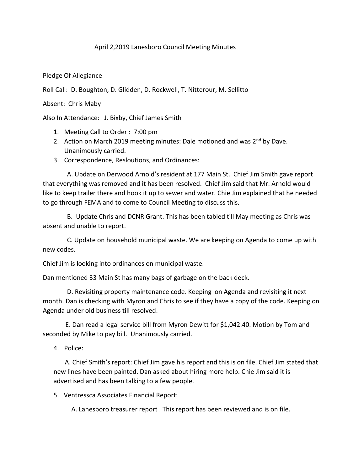## April 2,2019 Lanesboro Council Meeting Minutes

Pledge Of Allegiance

Roll Call: D. Boughton, D. Glidden, D. Rockwell, T. Nitterour, M. Sellitto

Absent: Chris Maby

Also In Attendance: J. Bixby, Chief James Smith

- 1. Meeting Call to Order : 7:00 pm
- 2. Action on March 2019 meeting minutes: Dale motioned and was  $2<sup>nd</sup>$  by Dave. Unanimously carried.
- 3. Correspondence, Resloutions, and Ordinances:

 A. Update on Derwood Arnold's resident at 177 Main St. Chief Jim Smith gave report that everything was removed and it has been resolved. Chief Jim said that Mr. Arnold would like to keep trailer there and hook it up to sewer and water. Chie Jim explained that he needed to go through FEMA and to come to Council Meeting to discuss this.

 B. Update Chris and DCNR Grant. This has been tabled till May meeting as Chris was absent and unable to report.

 C. Update on household municipal waste. We are keeping on Agenda to come up with new codes.

Chief Jim is looking into ordinances on municipal waste.

Dan mentioned 33 Main St has many bags of garbage on the back deck.

 D. Revisiting property maintenance code. Keeping on Agenda and revisiting it next month. Dan is checking with Myron and Chris to see if they have a copy of the code. Keeping on Agenda under old business till resolved.

 E. Dan read a legal service bill from Myron Dewitt for \$1,042.40. Motion by Tom and seconded by Mike to pay bill. Unanimously carried.

4. Police:

 A. Chief Smith's report: Chief Jim gave his report and this is on file. Chief Jim stated that new lines have been painted. Dan asked about hiring more help. Chie Jim said it is advertised and has been talking to a few people.

5. Ventressca Associates Financial Report:

A. Lanesboro treasurer report . This report has been reviewed and is on file.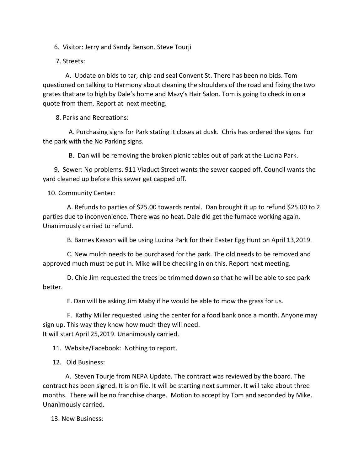6. Visitor: Jerry and Sandy Benson. Steve Tourji

7. Streets:

 A. Update on bids to tar, chip and seal Convent St. There has been no bids. Tom questioned on talking to Harmony about cleaning the shoulders of the road and fixing the two grates that are to high by Dale's home and Mazy's Hair Salon. Tom is going to check in on a quote from them. Report at next meeting.

8. Parks and Recreations:

 A. Purchasing signs for Park stating it closes at dusk. Chris has ordered the signs. For the park with the No Parking signs.

B. Dan will be removing the broken picnic tables out of park at the Lucina Park.

 9. Sewer: No problems. 911 Viaduct Street wants the sewer capped off. Council wants the yard cleaned up before this sewer get capped off.

10. Community Center:

 A. Refunds to parties of \$25.00 towards rental. Dan brought it up to refund \$25.00 to 2 parties due to inconvenience. There was no heat. Dale did get the furnace working again. Unanimously carried to refund.

B. Barnes Kasson will be using Lucina Park for their Easter Egg Hunt on April 13,2019.

 C. New mulch needs to be purchased for the park. The old needs to be removed and approved much must be put in. Mike will be checking in on this. Report next meeting.

 D. Chie Jim requested the trees be trimmed down so that he will be able to see park better.

E. Dan will be asking Jim Maby if he would be able to mow the grass for us.

 F. Kathy Miller requested using the center for a food bank once a month. Anyone may sign up. This way they know how much they will need. It will start April 25,2019. Unanimously carried.

11. Website/Facebook: Nothing to report.

12. Old Business:

 A. Steven Tourje from NEPA Update. The contract was reviewed by the board. The contract has been signed. It is on file. It will be starting next summer. It will take about three months. There will be no franchise charge. Motion to accept by Tom and seconded by Mike. Unanimously carried.

13. New Business: